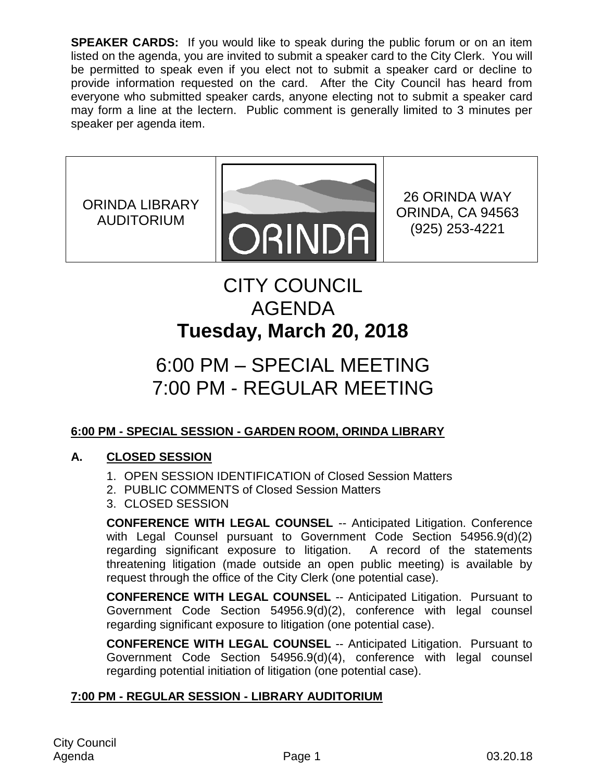**SPEAKER CARDS:** If you would like to speak during the public forum or on an item listed on the agenda, you are invited to submit a speaker card to the City Clerk. You will be permitted to speak even if you elect not to submit a speaker card or decline to provide information requested on the card. After the City Council has heard from everyone who submitted speaker cards, anyone electing not to submit a speaker card may form a line at the lectern. Public comment is generally limited to 3 minutes per speaker per agenda item.

ORINDA LIBRARY AUDITORIUM



26 ORINDA WAY ORINDA, CA 94563 (925) 253-4221

# CITY COUNCIL AGENDA **Tuesday, March 20, 2018**

# 6:00 PM – SPECIAL MEETING 7:00 PM - REGULAR MEETING

# **6:00 PM - SPECIAL SESSION - GARDEN ROOM, ORINDA LIBRARY**

# **A. CLOSED SESSION**

- 1. OPEN SESSION IDENTIFICATION of Closed Session Matters
- 2. PUBLIC COMMENTS of Closed Session Matters
- 3. CLOSED SESSION

**CONFERENCE WITH LEGAL COUNSEL** -- Anticipated Litigation. Conference with Legal Counsel pursuant to Government Code Section 54956.9(d)(2) regarding significant exposure to litigation. A record of the statements threatening litigation (made outside an open public meeting) is available by request through the office of the City Clerk (one potential case).

**CONFERENCE WITH LEGAL COUNSEL** -- Anticipated Litigation. Pursuant to Government Code Section 54956.9(d)(2), conference with legal counsel regarding significant exposure to litigation (one potential case).

**CONFERENCE WITH LEGAL COUNSEL** -- Anticipated Litigation. Pursuant to Government Code Section 54956.9(d)(4), conference with legal counsel regarding potential initiation of litigation (one potential case).

# **7:00 PM - REGULAR SESSION - LIBRARY AUDITORIUM**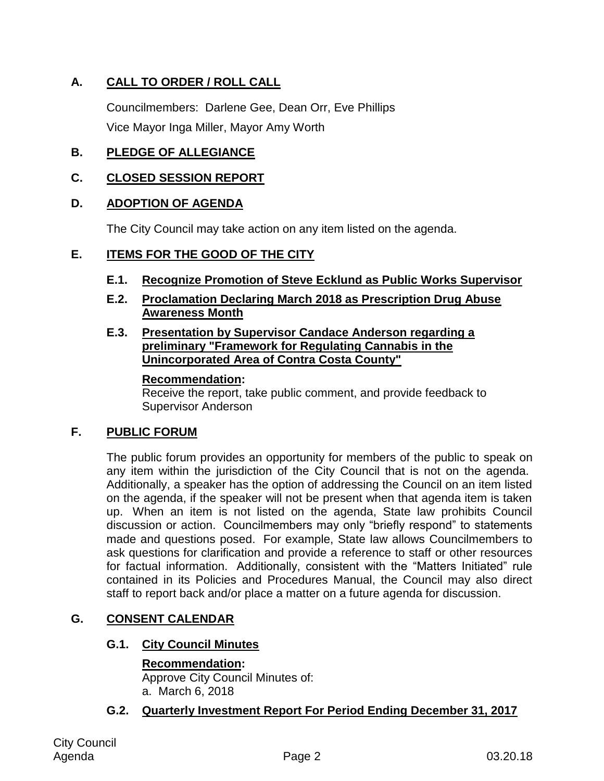# **A. CALL TO ORDER / ROLL CALL**

Councilmembers: Darlene Gee, Dean Orr, Eve Phillips Vice Mayor Inga Miller, Mayor Amy Worth

## **B. PLEDGE OF ALLEGIANCE**

## **C. CLOSED SESSION REPORT**

## **D. ADOPTION OF AGENDA**

The City Council may take action on any item listed on the agenda.

## **E. ITEMS FOR THE GOOD OF THE CITY**

- **E.1. Recognize Promotion of Steve Ecklund as Public Works Supervisor**
- **E.2. Proclamation Declaring March 2018 as Prescription Drug Abuse Awareness Month**

#### **E.3. Presentation by Supervisor Candace Anderson regarding a preliminary "Framework for Regulating Cannabis in the Unincorporated Area of Contra Costa County"**

#### **Recommendation:**

Receive the report, take public comment, and provide feedback to Supervisor Anderson

## **F. PUBLIC FORUM**

The public forum provides an opportunity for members of the public to speak on any item within the jurisdiction of the City Council that is not on the agenda. Additionally, a speaker has the option of addressing the Council on an item listed on the agenda, if the speaker will not be present when that agenda item is taken up. When an item is not listed on the agenda, State law prohibits Council discussion or action. Councilmembers may only "briefly respond" to statements made and questions posed. For example, State law allows Councilmembers to ask questions for clarification and provide a reference to staff or other resources for factual information. Additionally, consistent with the "Matters Initiated" rule contained in its Policies and Procedures Manual, the Council may also direct staff to report back and/or place a matter on a future agenda for discussion.

## **G. CONSENT CALENDAR**

## **G.1. City Council Minutes**

#### **Recommendation:**

Approve City Council Minutes of: a. March 6, 2018

## **G.2. Quarterly Investment Report For Period Ending December 31, 2017**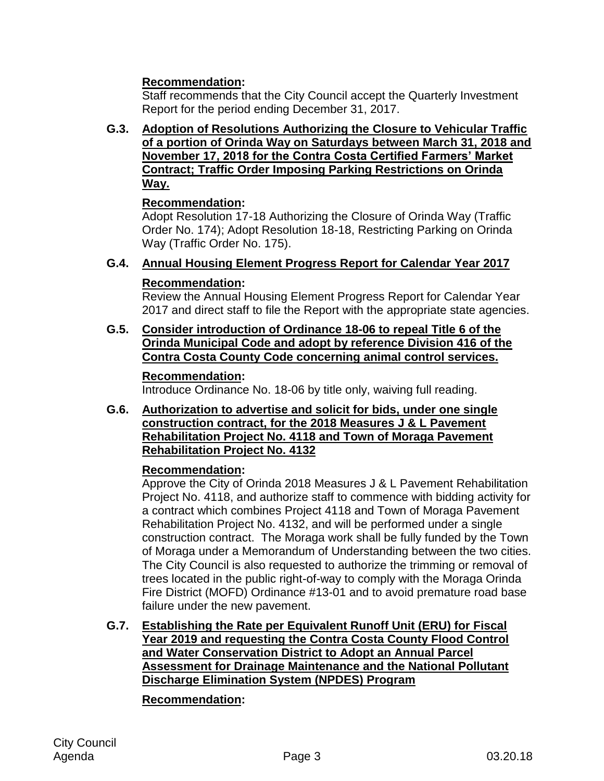## **Recommendation:**

Staff recommends that the City Council accept the Quarterly Investment Report for the period ending December 31, 2017.

**G.3. Adoption of Resolutions Authorizing the Closure to Vehicular Traffic of a portion of Orinda Way on Saturdays between March 31, 2018 and November 17, 2018 for the Contra Costa Certified Farmers' Market Contract; Traffic Order Imposing Parking Restrictions on Orinda Way.**

## **Recommendation:**

Adopt Resolution 17-18 Authorizing the Closure of Orinda Way (Traffic Order No. 174); Adopt Resolution 18-18, Restricting Parking on Orinda Way (Traffic Order No. 175).

## **G.4. Annual Housing Element Progress Report for Calendar Year 2017**

## **Recommendation:**

Review the Annual Housing Element Progress Report for Calendar Year 2017 and direct staff to file the Report with the appropriate state agencies.

**G.5. Consider introduction of Ordinance 18-06 to repeal Title 6 of the Orinda Municipal Code and adopt by reference Division 416 of the Contra Costa County Code concerning animal control services.**

#### **Recommendation:**

Introduce Ordinance No. 18-06 by title only, waiving full reading.

**G.6. Authorization to advertise and solicit for bids, under one single construction contract, for the 2018 Measures J & L Pavement Rehabilitation Project No. 4118 and Town of Moraga Pavement Rehabilitation Project No. 4132**

## **Recommendation:**

Approve the City of Orinda 2018 Measures J & L Pavement Rehabilitation Project No. 4118, and authorize staff to commence with bidding activity for a contract which combines Project 4118 and Town of Moraga Pavement Rehabilitation Project No. 4132, and will be performed under a single construction contract. The Moraga work shall be fully funded by the Town of Moraga under a Memorandum of Understanding between the two cities. The City Council is also requested to authorize the trimming or removal of trees located in the public right-of-way to comply with the Moraga Orinda Fire District (MOFD) Ordinance #13-01 and to avoid premature road base failure under the new pavement.

**G.7. Establishing the Rate per Equivalent Runoff Unit (ERU) for Fiscal Year 2019 and requesting the Contra Costa County Flood Control and Water Conservation District to Adopt an Annual Parcel Assessment for Drainage Maintenance and the National Pollutant Discharge Elimination System (NPDES) Program**

#### **Recommendation:**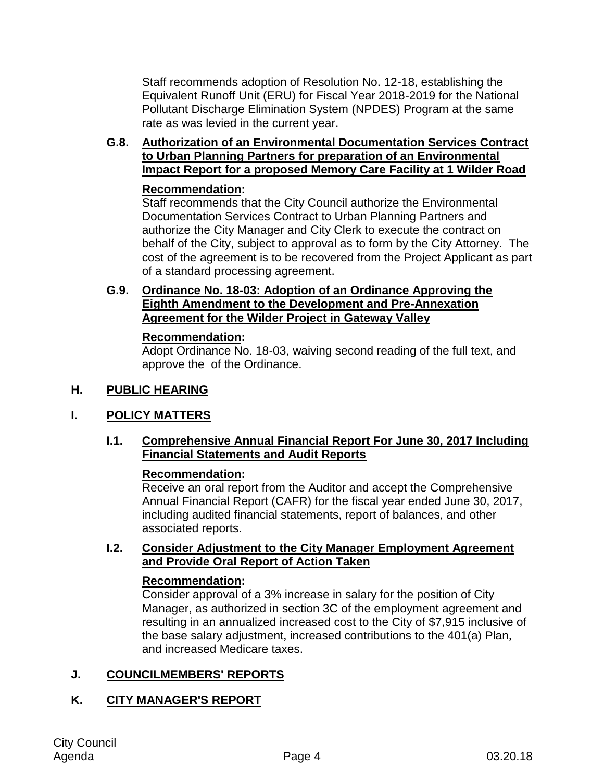Staff recommends adoption of Resolution No. 12-18, establishing the Equivalent Runoff Unit (ERU) for Fiscal Year 2018-2019 for the National Pollutant Discharge Elimination System (NPDES) Program at the same rate as was levied in the current year.

## **G.8. Authorization of an Environmental Documentation Services Contract to Urban Planning Partners for preparation of an Environmental Impact Report for a proposed Memory Care Facility at 1 Wilder Road**

#### **Recommendation:**

Staff recommends that the City Council authorize the Environmental Documentation Services Contract to Urban Planning Partners and authorize the City Manager and City Clerk to execute the contract on behalf of the City, subject to approval as to form by the City Attorney. The cost of the agreement is to be recovered from the Project Applicant as part of a standard processing agreement.

#### **G.9. Ordinance No. 18-03: Adoption of an Ordinance Approving the Eighth Amendment to the Development and Pre-Annexation Agreement for the Wilder Project in Gateway Valley**

#### **Recommendation:**

Adopt Ordinance No. 18-03, waiving second reading of the full text, and approve the of the Ordinance.

## **H. PUBLIC HEARING**

## **I. POLICY MATTERS**

## **I.1. Comprehensive Annual Financial Report For June 30, 2017 Including Financial Statements and Audit Reports**

#### **Recommendation:**

Receive an oral report from the Auditor and accept the Comprehensive Annual Financial Report (CAFR) for the fiscal year ended June 30, 2017, including audited financial statements, report of balances, and other associated reports.

#### **I.2. Consider Adjustment to the City Manager Employment Agreement and Provide Oral Report of Action Taken**

#### **Recommendation:**

Consider approval of a 3% increase in salary for the position of City Manager, as authorized in section 3C of the employment agreement and resulting in an annualized increased cost to the City of \$7,915 inclusive of the base salary adjustment, increased contributions to the 401(a) Plan, and increased Medicare taxes.

## **J. COUNCILMEMBERS' REPORTS**

# **K. CITY MANAGER'S REPORT**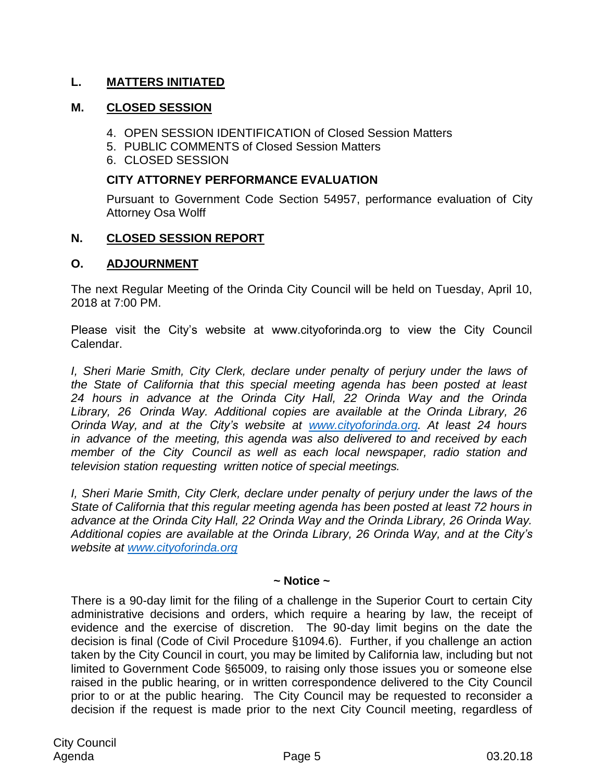## **L. MATTERS INITIATED**

#### **M. CLOSED SESSION**

- 4. OPEN SESSION IDENTIFICATION of Closed Session Matters
- 5. PUBLIC COMMENTS of Closed Session Matters
- 6. CLOSED SESSION

#### **CITY ATTORNEY PERFORMANCE EVALUATION**

Pursuant to Government Code Section 54957, performance evaluation of City Attorney Osa Wolff

## **N. CLOSED SESSION REPORT**

## **O. ADJOURNMENT**

The next Regular Meeting of the Orinda City Council will be held on Tuesday, April 10, 2018 at 7:00 PM.

Please visit the City's website at www.cityoforinda.org to view the City Council Calendar.

*I, Sheri Marie Smith, City Clerk, declare under penalty of perjury under the laws of the State of California that this special meeting agenda has been posted at least 24 hours in advance at the Orinda City Hall, 22 Orinda Way and the Orinda Library, 26 Orinda Way. Additional copies are available at the Orinda Library, 26 Orinda Way, and at the City's website at [www.cityoforinda.org.](http://www.cityoforinda.org/) At least 24 hours in advance of the meeting, this agenda was also delivered to and received by each member of the City Council as well as each local newspaper, radio station and television station requesting written notice of special meetings.*

*I, Sheri Marie Smith, City Clerk, declare under penalty of perjury under the laws of the State of California that this regular meeting agenda has been posted at least 72 hours in advance at the Orinda City Hall, 22 Orinda Way and the Orinda Library, 26 Orinda Way. Additional copies are available at the Orinda Library, 26 Orinda Way, and at the City's website at [www.cityoforinda.org](http://www.cityoforinda.org/)*

#### **~ Notice ~**

There is a 90-day limit for the filing of a challenge in the Superior Court to certain City administrative decisions and orders, which require a hearing by law, the receipt of evidence and the exercise of discretion. The 90-day limit begins on the date the decision is final (Code of Civil Procedure §1094.6). Further, if you challenge an action taken by the City Council in court, you may be limited by California law, including but not limited to Government Code §65009, to raising only those issues you or someone else raised in the public hearing, or in written correspondence delivered to the City Council prior to or at the public hearing. The City Council may be requested to reconsider a decision if the request is made prior to the next City Council meeting, regardless of